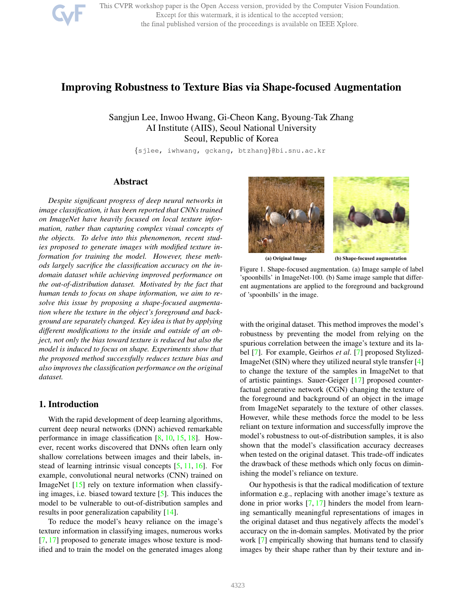

This CVPR workshop paper is the Open Access version, provided by the Computer Vision Foundation. Except for this watermark, it is identical to the accepted version; the final published version of the proceedings is available on IEEE Xplore.

# Improving Robustness to Texture Bias via Shape-focused Augmentation

Sangjun Lee, Inwoo Hwang, Gi-Cheon Kang, Byoung-Tak Zhang AI Institute (AIIS), Seoul National University Seoul, Republic of Korea

{sjlee, iwhwang, gckang, btzhang}@bi.snu.ac.kr

### Abstract

*Despite significant progress of deep neural networks in image classification, it has been reported that CNNs trained on ImageNet have heavily focused on local texture information, rather than capturing complex visual concepts of the objects. To delve into this phenomenon, recent studies proposed to generate images with modified texture information for training the model. However, these methods largely sacrifice the classification accuracy on the indomain dataset while achieving improved performance on the out-of-distribution dataset. Motivated by the fact that human tends to focus on shape information, we aim to resolve this issue by proposing a shape-focused augmentation where the texture in the object's foreground and background are separately changed. Key idea is that by applying different modifications to the inside and outside of an object, not only the bias toward texture is reduced but also the model is induced to focus on shape. Experiments show that the proposed method successfully reduces texture bias and also improves the classification performance on the original dataset.*

### 1. Introduction

With the rapid development of deep learning algorithms, current deep neural networks (DNN) achieved remarkable performance in image classification [8, 10, 15, 18]. However, recent works discovered that DNNs often learn only shallow correlations between images and their labels, instead of learning intrinsic visual concepts [5, 11, 16]. For example, convolutional neural networks (CNN) trained on ImageNet [15] rely on texture information when classifying images, i.e. biased toward texture [5]. This induces the model to be vulnerable to out-of-distribution samples and results in poor generalization capability [14].

To reduce the model's heavy reliance on the image's texture information in classifying images, numerous works [7, 17] proposed to generate images whose texture is modified and to train the model on the generated images along



**(a) Original Image (b) Shape-focused augmentation**

Figure 1. Shape-focused augmentation. (a) Image sample of label 'spoonbills' in ImageNet-100. (b) Same image sample that different augmentations are applied to the foreground and background of 'spoonbills' in the image.

with the original dataset. This method improves the model's robustness by preventing the model from relying on the spurious correlation between the image's texture and its label [7]. For example, Geirhos *et al*. [7] proposed Stylized-ImageNet (SIN) where they utilized neural style transfer [4] to change the texture of the samples in ImageNet to that of artistic paintings. Sauer-Geiger [17] proposed counterfactual generative network (CGN) changing the texture of the foreground and background of an object in the image from ImageNet separately to the texture of other classes. However, while these methods force the model to be less reliant on texture information and successfully improve the model's robustness to out-of-distribution samples, it is also shown that the model's classification accuracy decreases when tested on the original dataset. This trade-off indicates the drawback of these methods which only focus on diminishing the model's reliance on texture.

Our hypothesis is that the radical modification of texture information e.g., replacing with another image's texture as done in prior works [7, 17] hinders the model from learning semantically meaningful representations of images in the original dataset and thus negatively affects the model's accuracy on the in-domain samples. Motivated by the prior work [7] empirically showing that humans tend to classify images by their shape rather than by their texture and in-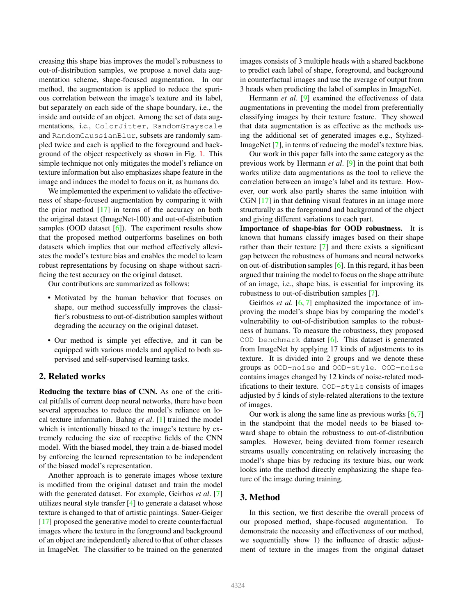creasing this shape bias improves the model's robustness to out-of-distribution samples, we propose a novel data augmentation scheme, shape-focused augmentation. In our method, the augmentation is applied to reduce the spurious correlation between the image's texture and its label, but separately on each side of the shape boundary, i.e., the inside and outside of an object. Among the set of data augmentations, i.e., ColorJitter, RandomGrayscale and RandomGaussianBlur, subsets are randomly sampled twice and each is applied to the foreground and background of the object respectively as shown in Fig. 1. This simple technique not only mitigates the model's reliance on texture information but also emphasizes shape feature in the image and induces the model to focus on it, as humans do.

We implemented the experiment to validate the effectiveness of shape-focused augmentation by comparing it with the prior method  $[17]$  in terms of the accuracy on both the original dataset (ImageNet-100) and out-of-distribution samples (OOD dataset  $[6]$ ). The experiment results show that the proposed method outperforms baselines on both datasets which implies that our method effectively alleviates the model's texture bias and enables the model to learn robust representations by focusing on shape without sacrificing the test accuracy on the original dataset.

Our contributions are summarized as follows:

- Motivated by the human behavior that focuses on shape, our method successfully improves the classifier's robustness to out-of-distribution samples without degrading the accuracy on the original dataset.
- Our method is simple yet effective, and it can be equipped with various models and applied to both supervised and self-supervised learning tasks.

# 2. Related works

Reducing the texture bias of CNN. As one of the critical pitfalls of current deep neural networks, there have been several approaches to reduce the model's reliance on local texture information. Bahng *et al*. [1] trained the model which is intentionally biased to the image's texture by extremely reducing the size of receptive fields of the CNN model. With the biased model, they train a de-biased model by enforcing the learned representation to be independent of the biased model's representation.

Another approach is to generate images whose texture is modified from the original dataset and train the model with the generated dataset. For example, Geirhos *et al*. [7] utilizes neural style transfer [4] to generate a dataset whose texture is changed to that of artistic paintings. Sauer-Geiger [17] proposed the generative model to create counterfactual images where the texture in the foreground and background of an object are independently altered to that of other classes in ImageNet. The classifier to be trained on the generated

images consists of 3 multiple heads with a shared backbone to predict each label of shape, foreground, and background in counterfactual images and use the average of output from 3 heads when predicting the label of samples in ImageNet.

Hermann *et al*. [9] examined the effectiveness of data augmentations in preventing the model from preferentially classifying images by their texture feature. They showed that data augmentation is as effective as the methods using the additional set of generated images e.g., Stylized-ImageNet [7], in terms of reducing the model's texture bias.

Our work in this paper falls into the same category as the previous work by Hermann *et al*. [9] in the point that both works utilize data augmentations as the tool to relieve the correlation between an image's label and its texture. However, our work also partly shares the same intuition with CGN [17] in that defining visual features in an image more structurally as the foreground and background of the object and giving different variations to each part.

Importance of shape-bias for OOD robustness. It is known that humans classify images based on their shape rather than their texture [7] and there exists a significant gap between the robustness of humans and neural networks on out-of-distribution samples [6]. In this regard, it has been argued that training the model to focus on the shape attribute of an image, i.e., shape bias, is essential for improving its robustness to out-of-distribution samples [7].

Geirhos *et al*. [6, 7] emphasized the importance of improving the model's shape bias by comparing the model's vulnerability to out-of-distribution samples to the robustness of humans. To measure the robustness, they proposed OOD benchmark dataset  $[6]$ . This dataset is generated from ImageNet by applying 17 kinds of adjustments to its texture. It is divided into 2 groups and we denote these groups as OOD-noise and OOD-style. OOD-noise contains images changed by 12 kinds of noise-related modifications to their texture. OOD-style consists of images adjusted by 5 kinds of style-related alterations to the texture of images.

Our work is along the same line as previous works  $[6, 7]$ in the standpoint that the model needs to be biased toward shape to obtain the robustness to out-of-distribution samples. However, being deviated from former research streams usually concentrating on relatively increasing the model's shape bias by reducing its texture bias, our work looks into the method directly emphasizing the shape feature of the image during training.

# 3. Method

In this section, we first describe the overall process of our proposed method, shape-focused augmentation. To demonstrate the necessity and effectiveness of our method, we sequentially show 1) the influence of drastic adjustment of texture in the images from the original dataset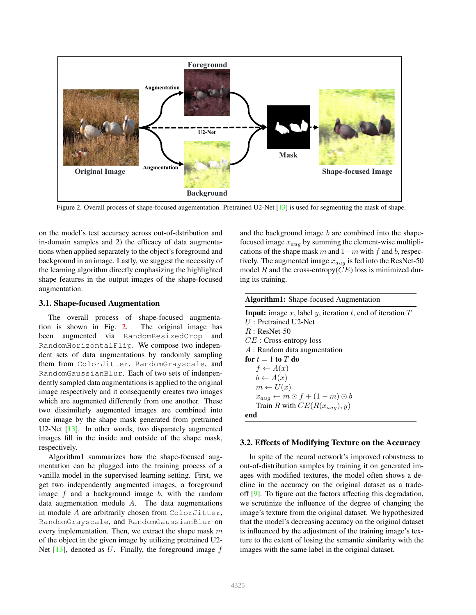

Figure 2. Overall process of shape-focused augementation. Pretrained U2-Net [13] is used for segmenting the mask of shape.

on the model's test accuracy across out-of-dstribution and in-domain samples and 2) the efficacy of data augmentations when applied separately to the object's foreground and background in an image. Lastly, we suggest the necessity of the learning algorithm directly emphasizing the highlighted shape features in the output images of the shape-focused augmentation.

# 3.1. Shape-focused Augmentation

The overall process of shape-focused augmentation is shown in Fig. 2. The original image has been augmented via RandomResizedCrop and RandomHorizontalFlip. We compose two independent sets of data augmentations by randomly sampling them from ColorJitter, RandomGrayscale, and RandomGaussianBlur. Each of two sets of indenpendently sampled data augmentations is applied to the original image respectively and it consequently creates two images which are augmented differently from one another. These two dissimilarly augmented images are combined into one image by the shape mask generated from pretrained U2-Net [13]. In other words, two disparately augmented images fill in the inside and outside of the shape mask, respectively.

Algorithm1 summarizes how the shape-focused augmentation can be plugged into the training process of a vanilla model in the supervised learning setting. First, we get two independently augmented images, a foreground image  $f$  and a background image  $b$ , with the random data augmentation module  $A$ . The data augmentations in module A are arbitrarily chosen from ColorJitter, RandomGrayscale, and RandomGaussianBlur on every implementation. Then, we extract the shape mask  $m$ of the object in the given image by utilizing pretrained U2- Net  $[13]$ , denoted as U. Finally, the foreground image  $f$ 

and the background image  $b$  are combined into the shapefocused image  $x_{aug}$  by summing the element-wise multiplications of the shape mask m and  $1-m$  with f and b, respectively. The augmented image  $x_{aug}$  is fed into the ResNet-50 model R and the cross-entropy( $CE$ ) loss is minimized during its training.

| <b>Algorithm1:</b> Shape-focused Augmentation                   |
|-----------------------------------------------------------------|
| <b>Input:</b> image x, label y, iteration t, end of iteration T |
| $U:$ Pretrained U2-Net                                          |
| $R:$ ResNet-50                                                  |
| $CE$ : Cross-entropy loss                                       |
| $A:$ Random data augmentation                                   |
| for $t=1$ to $T$ do                                             |
| $f \leftarrow A(x)$                                             |
| $b \leftarrow A(x)$                                             |
| $m \leftarrow U(x)$                                             |
| $x_{aug} \leftarrow m \odot f + (1 - m) \odot b$                |
| Train R with $CE(R(x_{aua}), y)$                                |
| end                                                             |
|                                                                 |

# 3.2. Effects of Modifying Texture on the Accuracy

In spite of the neural network's improved robustness to out-of-distribution samples by training it on generated images with modified textures, the model often shows a decline in the accuracy on the original dataset as a tradeoff [9]. To figure out the factors affecting this degradation, we scrutinize the influence of the degree of changing the image's texture from the original dataset. We hypothesized that the model's decreasing accuracy on the original dataset is influenced by the adjustment of the training image's texture to the extent of losing the semantic similarity with the images with the same label in the original dataset.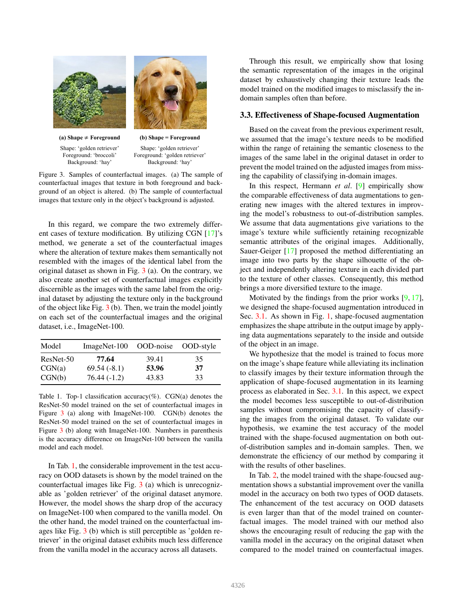



**(a) Shape** ≠ **Foreground** Shape: 'golden retriever' Foreground: 'broccoli' Background: 'hay'

**(b) Shape = Foreground** Shape: 'golden retriever' Foreground: 'golden retriever' Background: 'hay'

Figure 3. Samples of counterfactual images. (a) The sample of counterfactual images that texture in both foreground and background of an object is altered. (b) The sample of counterfactual images that texture only in the object's background is adjusted.

In this regard, we compare the two extremely different cases of texture modification. By utilizing CGN [17]'s method, we generate a set of the counterfactual images where the alteration of texture makes them semantically not resembled with the images of the identical label from the original dataset as shown in Fig. 3 (a). On the contrary, we also create another set of counterfactual images explicitly discernible as the images with the same label from the original dataset by adjusting the texture only in the background of the object like Fig. 3 (b). Then, we train the model jointly on each set of the counterfactual images and the original dataset, i.e., ImageNet-100.

| Model     | ImageNet-100  | OOD-noise | OOD-style |
|-----------|---------------|-----------|-----------|
| ResNet-50 | 77.64         | 39.41     | 35        |
| CGN(a)    | $69.54(-8.1)$ | 53.96     | 37        |
| CGN(b)    | $76.44(-1.2)$ | 43.83     | 33        |

Table 1. Top-1 classification accuracy(%).  $CGN(a)$  denotes the ResNet-50 model trained on the set of counterfactual images in Figure 3 (a) along with ImageNet-100. CGN(b) denotes the ResNet-50 model trained on the set of counterfactual images in Figure 3 (b) along with ImageNet-100. Numbers in parenthesis is the accuracy difference on ImageNet-100 between the vanilla model and each model.

In Tab. 1, the considerable improvement in the test accuracy on OOD datasets is shown by the model trained on the counterfactual images like Fig. 3 (a) which is unrecognizable as 'golden retriever' of the original dataset anymore. However, the model shows the sharp drop of the accuracy on ImageNet-100 when compared to the vanilla model. On the other hand, the model trained on the counterfactual images like Fig. 3 (b) which is still perceptible as 'golden retriever' in the original dataset exhibits much less difference from the vanilla model in the accuracy across all datasets.

Through this result, we empirically show that losing the semantic representation of the images in the original dataset by exhaustively changing their texture leads the model trained on the modified images to misclassify the indomain samples often than before.

## 3.3. Effectiveness of Shape-focused Augmentation

Based on the caveat from the previous experiment result, we assumed that the image's texture needs to be modified within the range of retaining the semantic closeness to the images of the same label in the original dataset in order to prevent the model trained on the adjusted images from missing the capability of classifying in-domain images.

In this respect, Hermann *et al*. [9] empirically show the comparable effectiveness of data augmentations to generating new images with the altered textures in improving the model's robustness to out-of-distribution samples. We assume that data augmentations give variations to the image's texture while sufficiently retaining recognizable semantic attributes of the original images. Additionally, Sauer-Geiger [17] proposed the method differentiating an image into two parts by the shape silhouette of the object and independently altering texture in each divided part to the texture of other classes. Consequently, this method brings a more diversified texture to the image.

Motivated by the findings from the prior works  $[9, 17]$ , we designed the shape-focused augmentation introduced in Sec. 3.1. As shown in Fig. 1, shape-focused augmentation emphasizes the shape attribute in the output image by applying data augmentations separately to the inside and outside of the object in an image.

We hypothesize that the model is trained to focus more on the image's shape feature while alleviating its inclination to classify images by their texture information through the application of shape-focused augmentation in its learning process as elaborated in Sec. 3.1. In this aspect, we expect the model becomes less susceptible to out-of-distribution samples without compromising the capacity of classifying the images from the original dataset. To validate our hypothesis, we examine the test accuracy of the model trained with the shape-focused augmentation on both outof-distribution samples and in-domain samples. Then, we demonstrate the efficiency of our method by comparing it with the results of other baselines.

In Tab. 2, the model trained with the shape-foucsed augmentation shows a substantial improvement over the vanilla model in the accuracy on both two types of OOD datasets. The enhancement of the test accuracy on OOD datasets is even larger than that of the model trained on counterfactual images. The model trained with our method also shows the encouraging result of reducing the gap with the vanilla model in the accuracy on the original dataset when compared to the model trained on counterfactual images.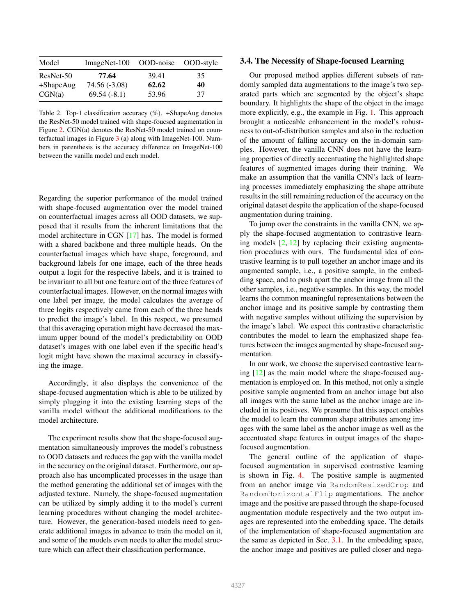| Model        | $ImageNet-100$ | OOD-noise | OOD-style |
|--------------|----------------|-----------|-----------|
| $ResNet-50$  | 77.64          | 39.41     | 35        |
| $+$ ShapeAug | 74.56 (-3.08)  | 62.62     | 40        |
| CGN(a)       | $69.54(-8.1)$  | 53.96     | 37        |

Table 2. Top-1 classification accuracy (%). +ShapeAug denotes the ResNet-50 model trained with shape-foucsed augmentation in Figure 2. CGN(a) denotes the ResNet-50 model trained on counterfactual images in Figure 3 (a) along with ImageNet-100. Numbers in parenthesis is the accuracy difference on ImageNet-100 between the vanilla model and each model.

Regarding the superior performance of the model trained with shape-focused augmentation over the model trained on counterfactual images across all OOD datasets, we supposed that it results from the inherent limitations that the model architecture in CGN [17] has. The model is formed with a shared backbone and three multiple heads. On the counterfactual images which have shape, foreground, and background labels for one image, each of the three heads output a logit for the respective labels, and it is trained to be invariant to all but one feature out of the three features of counterfactual images. However, on the normal images with one label per image, the model calculates the average of three logits respectively came from each of the three heads to predict the image's label. In this respect, we presumed that this averaging operation might have decreased the maximum upper bound of the model's predictability on OOD dataset's images with one label even if the specific head's logit might have shown the maximal accuracy in classifying the image.

Accordingly, it also displays the convenience of the shape-focused augmentation which is able to be utilized by simply plugging it into the existing learning steps of the vanilla model without the additional modifications to the model architecture.

The experiment results show that the shape-focused augmentation simultaneously improves the model's robustness to OOD datasets and reduces the gap with the vanilla model in the accuracy on the original dataset. Furthermore, our approach also has uncomplicated processes in the usage than the method generating the additional set of images with the adjusted texture. Namely, the shape-focused augmentation can be utilized by simply adding it to the model's current learning procedures without changing the model architecture. However, the generation-based models need to generate additional images in advance to train the model on it, and some of the models even needs to alter the model structure which can affect their classification performance.

#### 3.4. The Necessity of Shape-focused Learning

Our proposed method applies different subsets of randomly sampled data augmentations to the image's two separated parts which are segmented by the object's shape boundary. It highlights the shape of the object in the image more explicitly, e.g., the example in Fig. 1. This approach brought a noticeable enhancement in the model's robustness to out-of-distribution samples and also in the reduction of the amount of falling accuracy on the in-domain samples. However, the vanilla CNN does not have the learning properties of directly accentuating the highlighted shape features of augmented images during their training. We make an assumption that the vanilla CNN's lack of learning processes immediately emphasizing the shape attribute results in the still remaining reduction of the accuracy on the original dataset despite the application of the shape-focused augmentation during training.

To jump over the constraints in the vanilla CNN, we apply the shape-focused augmentation to contrastive learning models  $[2, 12]$  by replacing their existing augmentation procedures with ours. The fundamental idea of contrastive learning is to pull together an anchor image and its augmented sample, i.e., a positive sample, in the embedding space, and to push apart the anchor image from all the other samples, i.e., negative samples. In this way, the model learns the common meaningful representations between the anchor image and its positive sample by contrasting them with negative samples without utilizing the supervision by the image's label. We expect this contrastive characteristic contributes the model to learn the emphasized shape features between the images augmented by shape-focused augmentation.

In our work, we choose the supervised contrastive learning [12] as the main model where the shape-focused augmentation is employed on. In this method, not only a single positive sample augmented from an anchor image but also all images with the same label as the anchor image are included in its positives. We presume that this aspect enables the model to learn the common shape attributes among images with the same label as the anchor image as well as the accentuated shape features in output images of the shapefocused augmentation.

The general outline of the application of shapefocused augmentation in supervised contrastive learning is shown in Fig. 4. The positive sample is augmented from an anchor image via RandomResizedCrop and RandomHorizontalFlip augmentations. The anchor image and the positive are passed through the shape-focused augmentation module respectively and the two output images are represented into the embedding space. The details of the implementation of shape-focused augmentation are the same as depicted in Sec. 3.1. In the embedding space, the anchor image and positives are pulled closer and nega-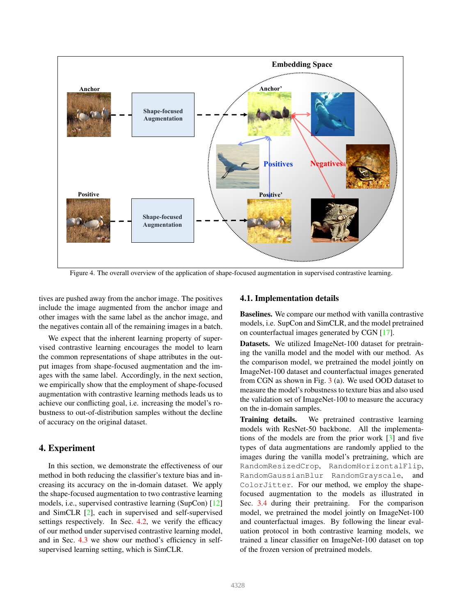

Figure 4. The overall overview of the application of shape-focused augmentation in supervised contrastive learning.

tives are pushed away from the anchor image. The positives include the image augmented from the anchor image and other images with the same label as the anchor image, and the negatives contain all of the remaining images in a batch.

We expect that the inherent learning property of supervised contrastive learning encourages the model to learn the common representations of shape attributes in the output images from shape-focused augmentation and the images with the same label. Accordingly, in the next section, we empirically show that the employment of shape-focused augmentation with contrastive learning methods leads us to achieve our conflicting goal, i.e. increasing the model's robustness to out-of-distribution samples without the decline of accuracy on the original dataset.

# 4. Experiment

In this section, we demonstrate the effectiveness of our method in both reducing the classifier's texture bias and increasing its accuracy on the in-domain dataset. We apply the shape-focused augmentation to two contrastive learning models, i.e., supervised contrastive learning (SupCon) [12] and SimCLR [2], each in supervised and self-supervised settings respectively. In Sec. 4.2, we verify the efficacy of our method under supervised contrastive learning model, and in Sec. 4.3 we show our method's efficiency in selfsupervised learning setting, which is SimCLR.

#### 4.1. Implementation details

Baselines. We compare our method with vanilla contrastive models, i.e. SupCon and SimCLR, and the model pretrained on counterfactual images generated by CGN [17].

Datasets. We utilized ImageNet-100 dataset for pretraining the vanilla model and the model with our method. As the comparison model, we pretrained the model jointly on ImageNet-100 dataset and counterfactual images generated from CGN as shown in Fig. 3 (a). We used OOD dataset to measure the model's robustness to texture bias and also used the validation set of ImageNet-100 to measure the accuracy on the in-domain samples.

Training details. We pretrained contrastive learning models with ResNet-50 backbone. All the implementations of the models are from the prior work [3] and five types of data augmentations are randomly applied to the images during the vanilla model's pretraining, which are RandomResizedCrop, RandomHorizontalFlip, RandomGaussianBlur RandomGrayscale, and ColorJitter. For our method, we employ the shapefocused augmentation to the models as illustrated in Sec. 3.4 during their pretraining. For the comparison model, we pretrained the model jointly on ImageNet-100 and counterfactual images. By following the linear evaluation protocol in both contrastive learning models, we trained a linear classifier on ImageNet-100 dataset on top of the frozen version of pretrained models.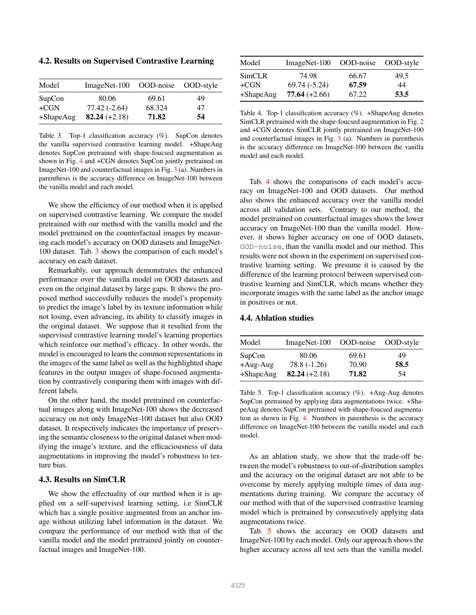4.2. Results on Supervised Contrastive Learning

| Model        | ImageNet-100    | OOD-noise OOD-style |    |
|--------------|-----------------|---------------------|----|
| SupCon       | 80.06           | 69.61               | 49 |
| $+CGN$       | $77.42(-2.64)$  | 68.324              | 47 |
| $+$ ShapeAug | $82.24 (+2.18)$ | 71.82               | 54 |

Table 3. Top-1 classification accuracy (%). SupCon denotes the vanilla supervised contrastive learning model. +ShapeAug denotes SupCon pretrained with shape-foucsed augmentation as shown in Fig. 4 and +CGN denotes SupCon jointly pretrained on ImageNet-100 and counterfactual images in Fig. 3 (a). Numbers in parenthesis is the accuracy difference on ImageNet-100 between the vanilla model and each model.

We show the efficiency of our method when it is applied on supervised contrastive learning. We compare the model pretrained with our method with the vanilla model and the model pretrained on the counterfactual images by measuring each model's accuracy on OOD datasets and ImageNet-100 dataset. Tab. 3 shows the comparison of each model's accuracy on each dataset.

Remarkably, our approach demonstrates the enhanced performance over the vanilla model on OOD datasets and even on the original dataset by large gaps. It shows the proposed method successfully reduces the model's propensity to predict the image's label by its texture information while not losing, even advancing, its ability to classify images in the original dataset. We suppose that it resulted from the supervised contrastive learning model's learning properties which reinforce our method's efficacy. In other words, the model is encouraged to learn the common representations in the images of the same label as well as the highlighted shape features in the output images of shape-focused augmentation by contrastively comparing them with images with different labels.

On the other hand, the model pretrained on counterfactual images along with ImageNet-100 shows the decreased accuracy on not only ImageNet-100 dataset but also OOD dataset. It respectively indicates the importance of preserving the semantic closeness to the original dataset when modifying the image's texture, and the efficaciousness of data augmentations in improving the model's robustness to texture bias.

### 4.3. Results on SimCLR

We show the effectuality of our method when it is applied on a self-supervised learning setting, i.e SimCLR which has a single positive augmented from an anchor image without utilizing label information in the dataset. We compare the performance of our method with that of the vanilla model and the model pretrained jointly on counterfactual images and ImageNet-100.

| Model     | $ImageNet-100$  | OOD-noise | OOD-style |
|-----------|-----------------|-----------|-----------|
| SimCLR    | 74.98           | 66.67     | 49.5      |
| +CGN      | $69.74(-5.24)$  | 67.59     | 44        |
| +ShapeAug | $77.64 (+2.66)$ | 67.22     | 53.5      |

Table 4. Top-1 classification accuracy (%). +ShapeAug denotes SimCLR pretrained with the shape-foucsed augmentation in Fig. 2 and +CGN denotes SimCLR jointly pretrained on ImageNet-100 and counterfactual images in Fig. 3 (a). Numbers in parenthesis is the accuracy difference on ImageNet-100 between the vanilla model and each model.

Tab. 4 shows the comparisons of each model's accuracy on ImageNet-100 and OOD datasets. Our method also shows the enhanced accuracy over the vanilla model across all validation sets. Contrary to our method, the model pretrained on counterfactual images shows the lower accuracy on ImageNet-100 than the vanilla model. However, it shows higher accuracy on one of OOD datasets, OOD-noise, than the vanilla model and our method. This results were not shown in the experiment on supervised contrastive learning setting. We presume it is caused by the difference of the learning protocol between supervised contrastive learning and SimCLR, which means whether they incorporate images with the same label as the anchor image in positives or not.

# 4.4. Ablation studies

| Model       | ImageNet-100    | OOD-noise | OOD-style |
|-------------|-----------------|-----------|-----------|
| SupCon      | 80.06           | 69.61     | 49        |
| $+Aug-Aug$  | $78.8(-1.26)$   | 70.90     | 58.5      |
| $+ShapeAug$ | 82.24 $(+2.18)$ | 71.82     | 54        |

Table 5. Top-1 classification accuracy (%). +Aug-Aug denotes SupCon pretrained by applying data augmentations twice. +ShapeAug denotes SupCon pretrained with shape-foucsed augmentation as shown in Fig. 4. Numbers in parenthesis is the accuracy difference on ImageNet-100 between the vanilla model and each model.

As an ablation study, we show that the trade-off between the model's robustness to out-of-distribution samples and the accuracy on the original dataset are not able to be overcome by merely applying multiple times of data augmentations during training. We compare the accuracy of our method with that of the supervised contrastive learning model which is pretrained by consecutively applying data augmentations twice.

Tab. 5 shows the accuracy on OOD datasets and ImageNet-100 by each model. Only our approach shows the higher accuracy across all test sets than the vanilla model.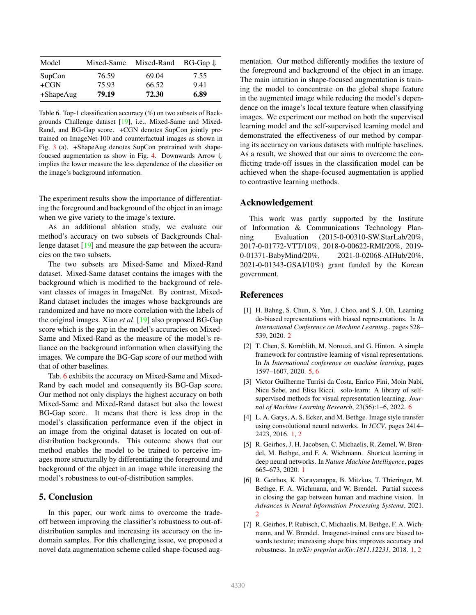| Model        | Mixed-Same | Mixed-Rand | $BG-Gap \Downarrow$ |
|--------------|------------|------------|---------------------|
| SupCon       | 76.59      | 69.04      | 7.55                |
| $+CGN$       | 75.93      | 66.52      | 9.41                |
| $+$ ShapeAug | 79.19      | 72.30      | 6.89                |

Table 6. Top-1 classification accuracy (%) on two subsets of Backgrounds Challenge dataset [19], i.e., Mixed-Same and Mixed-Rand, and BG-Gap score. +CGN denotes SupCon jointly pretrained on ImageNet-100 and counterfactual images as shown in Fig. 3 (a). +ShapeAug denotes SupCon pretrained with shapefoucsed augmentation as show in Fig. 4. Downwards Arrow  $\Downarrow$ implies the lower measure the less dependence of the classifier on the image's background information.

The experiment results show the importance of differentiating the foreground and background of the object in an image when we give variety to the image's texture.

As an additional ablation study, we evaluate our method's accuracy on two subsets of Backgrounds Challenge dataset [19] and measure the gap between the accuracies on the two subsets.

The two subsets are Mixed-Same and Mixed-Rand dataset. Mixed-Same dataset contains the images with the background which is modified to the background of relevant classes of images in ImageNet. By contrast, Mixed-Rand dataset includes the images whose backgrounds are randomized and have no more correlation with the labels of the original images. Xiao *et al*. [19] also proposed BG-Gap score which is the gap in the model's accuracies on Mixed-Same and Mixed-Rand as the measure of the model's reliance on the background information when classifying the images. We compare the BG-Gap score of our method with that of other baselines.

Tab. 6 exhibits the accuracy on Mixed-Same and Mixed-Rand by each model and consequently its BG-Gap score. Our method not only displays the highest accuracy on both Mixed-Same and Mixed-Rand dataset but also the lowest BG-Gap score. It means that there is less drop in the model's classification performance even if the object in an image from the original dataset is located on out-ofdistribution backgrounds. This outcome shows that our method enables the model to be trained to perceive images more structurally by differentiating the foreground and background of the object in an image while increasing the model's robustness to out-of-distribution samples.

# 5. Conclusion

In this paper, our work aims to overcome the tradeoff between improving the classifier's robustness to out-ofdistribution samples and increasing its accuracy on the indomain samples. For this challenging issue, we proposed a novel data augmentation scheme called shape-focused augmentation. Our method differently modifies the texture of the foreground and background of the object in an image. The main intuition in shape-focused augmentation is training the model to concentrate on the global shape feature in the augmented image while reducing the model's dependence on the image's local texture feature when classifying images. We experiment our method on both the supervised learning model and the self-supervised learning model and demonstrated the effectiveness of our method by comparing its accuracy on various datasets with multiple baselines. As a result, we showed that our aims to overcome the conflicting trade-off issues in the classification model can be achieved when the shape-focused augmentation is applied to contrastive learning methods.

#### Acknowledgement

This work was partly supported by the Institute of Information & Communications Technology Planning Evaluation (2015-0-00310-SW.StarLab/20%, 2017-0-01772-VTT/10%, 2018-0-00622-RMI/20%, 2019- 0-01371-BabyMind/20%, 2021-0-02068-AIHub/20%, 2021-0-01343-GSAI/10%) grant funded by the Korean government.

#### References

- [1] H. Bahng, S. Chun, S. Yun, J. Choo, and S. J. Oh. Learning de-biased representations with biased representations. In *In International Conference on Machine Learning.*, pages 528– 539, 2020. 2
- [2] T. Chen, S. Kornblith, M. Norouzi, and G. Hinton. A simple framework for contrastive learning of visual representations. In *In International conference on machine learning*, pages 1597–1607, 2020. 5, 6
- [3] Victor Guilherme Turrisi da Costa, Enrico Fini, Moin Nabi, Nicu Sebe, and Elisa Ricci. solo-learn: A library of selfsupervised methods for visual representation learning. *Journal of Machine Learning Research*, 23(56):1–6, 2022. 6
- [4] L. A. Gatys, A. S. Ecker, and M. Bethge. Image style transfer using convolutional neural networks. In *ICCV*, pages 2414– 2423, 2016. 1, 2
- [5] R. Geirhos, J. H. Jacobsen, C. Michaelis, R. Zemel, W. Brendel, M. Bethge, and F. A. Wichmann. Shortcut learning in deep neural networks. In *Nature Machine Intelligence*, pages 665–673, 2020. 1
- [6] R. Geirhos, K. Narayanappa, B. Mitzkus, T. Thieringer, M. Bethge, F. A. Wichmann, and W. Brendel. Partial success in closing the gap between human and machine vision. In *Advances in Neural Information Processing Systems*, 2021. 2
- [7] R. Geirhos, P. Rubisch, C. Michaelis, M. Bethge, F. A. Wichmann, and W. Brendel. Imagenet-trained cnns are biased towards texture; increasing shape bias improves accuracy and robustness. In *arXiv preprint arXiv:1811.12231*, 2018. 1, 2